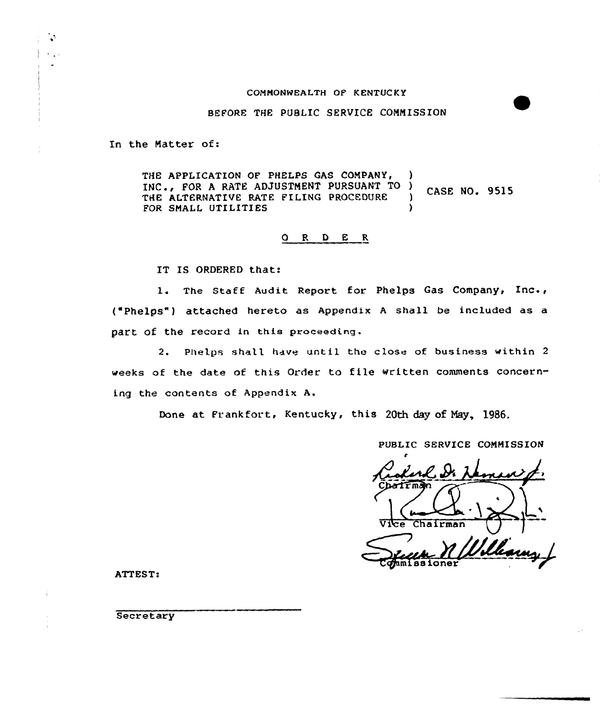#### COMMONWEALTH OF KENTUCKY

BEFORE THE PUBLIC SERVICE CONNISS ION

In the Natter of:

**SAN**  $\sim 100$ 

> THE APPLICATION OF PHELPS GAS COMPANY, INC., FOR A RATE ADJUSTMENT PURSUANT TO )<br>THE ALTERNATIVE RATE FILING PROCEDURE ) INC., FOR A RATE ADJOSIMENT PORSOANT TO ) CASE NO. 9515<br>THE ALTERNATIVE RATE FILING PROCEDURE ) CASE NO. 9515<br>FOR SMALL UTILITIES FOR SMALL UTILITIES

# O R D E R

IT IS ORDERED that:

l. The Staff Audit Report for Phelps Gas Company, Inc., ("Phelps") attached hereto as Appendix A shall be included as a part Of the record in this proceeding.

2. Phelps shell have until the close of business within <sup>2</sup> weeks of the date of this Order to file written comments concerning the contents of Appendix A.

Done at Frankfort, Kentucky, this 20th day of Nay, 1986,

PUBLIC SERVICE CONNISSION

Chairman Vice +mi ss ioner

ATTEST:

**Secretary**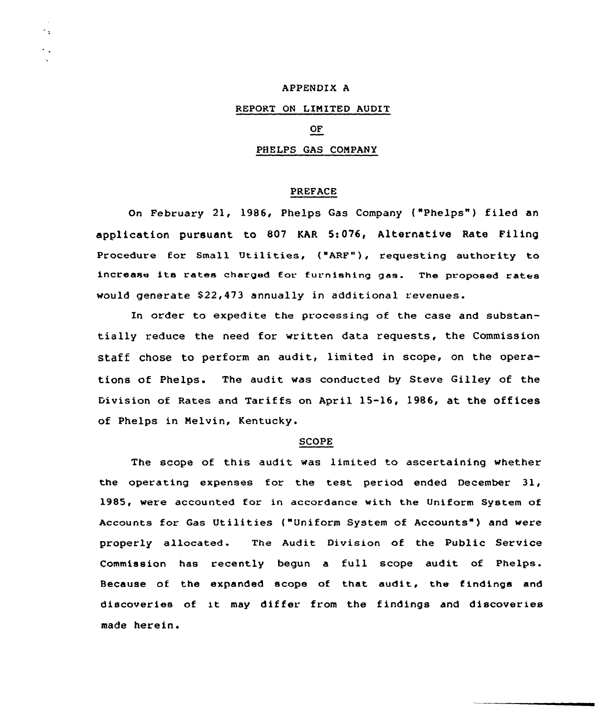### APPENDIX A

÷.

# REPORT ON LIMITED AUDIT

# OF

# PHELPS GAS CONPANY

# PREFACE

On February 21, 1986, Phelps Gas Company {"Phelps") filed an application pursuant to 807 KAR 5:076, Alternative Rate Filing Procedure for Small Utilities, ("ARF"), requesting authority to increase its rates charged tor furnishing gas. The proposed rates would generate \$22,473 annually in additional revenues.

In order to expedite the processing of the case and substantially reduce the need for written data requests, the Commission staff chose to perform an audit, limited in scope, on the operations of Phelps. The audit was conducted by Steve Gilley of the Division of Rates and Tariffs on April 15-16, 1986, at the offices of Phelps in Melvin, Kentucky.

# SCOPE

The scope of this audit was limited to ascertaining whether the operating expenses for the test period ended December 31, 1985, were accounted for in accordance with the Uniform System of Accounts for Gas Utilities {"Uniform System of Accounts" ) and were properly allocated. The Audit Division of the Public Service Commission has recently begun a full scope audit of Phelps. Because of the expanded scope of that audit, the findings and discoveries of it may differ from the findings and discoveries made herein.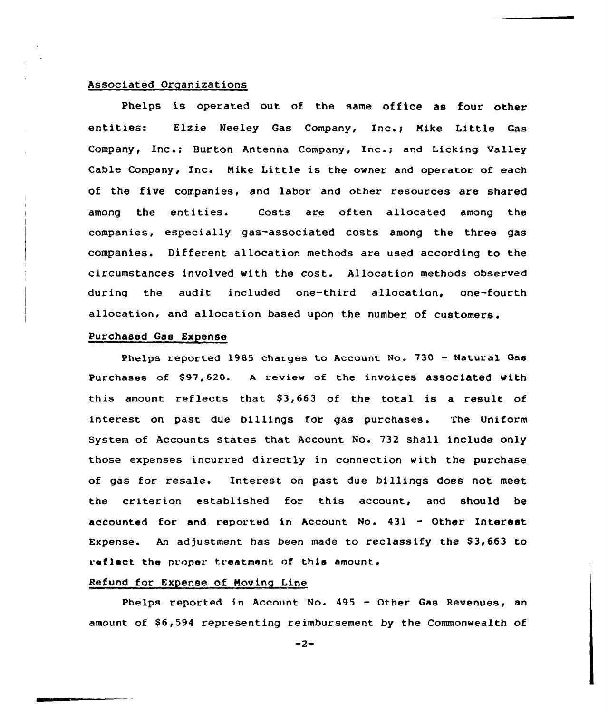# Associated Organizations

phelps is operated out of the same office as four other entities: Elzie Neeley Gas Company, Inc.; Mike Little Gas Company, Inc.; Burton Antenna Company, Inc.; and Licking valley Cable Company, Inc. Mike Little is the owner and operator of each of the five companies, and labor and other resources are shared among the entities. Costs are often allocated among the companies, especially gas-associated costs among the three gas companies. Different allocation methods are used according to the circumstances involved with the cost. Allocation methods observed during the audit included one-third allocation, one-fourth allocation, and allocation based upon the number of customers.

# Purchased Gas Expense

Phelps reported 1985 charges to Account No. 730 — Natural Gas Purchases of \$97,620. A review of the invoices associated with this amount reflects that  $$3,663$  of the total is a result of interest on past due billings for gas purchases. The Uniform System of Accounts states that Account No. 732 shall include only those expenses incurred directly in connection with the purchase of gas for resale. Interest on past due billings does not meet the criterion established for this account, and should be accounted for and reported in Account No. 431 - Other Interest Expense. An adjustment has been made to reclassify the  $$3,663$  to raflact the proper treatment of thie amount.

# Refund for Expense of Noving Line

Phelps reported in Account No. 495 — Other Gas Revenues, an amount of \$6,594 representing reimbursement by the Commonwealth of

 $-2-$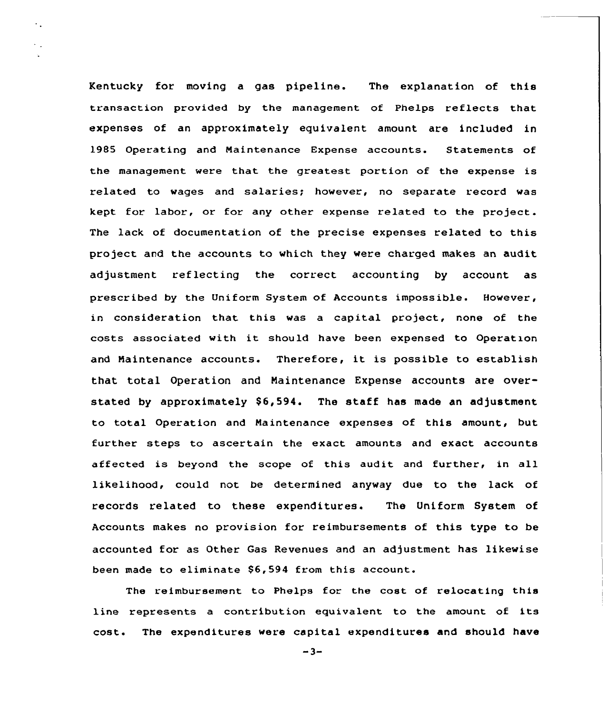Kentucky for moving a gas pipeline. The explanation of this transaction provided by the management of Phelps reflects that expenses of an approximately equivalent amount are included in 1985 Operating and Naintenance Expense accounts. Statements of the management were that the greatest portion of the expense is related to wages and salaries; however, no separate record was kept for labor, or for any other expense related to the project. The lack of documentation of the precise expenses related to this project and the accounts to which they were charged makes an audit adjustment reflecting the correct accounting by account as prescribed by the Uniform System of Accounts impossible. However, in consideration that this was a capital project, none of the costs associated with it should have been expensed to Operation and Maintenance accounts. Therefore, it is possible to establish that total Operation and Naintenance Expense accounts are overstated by approximately  $$6,594$ . The staff has made an adjustment to total Operation and Maintenance expenses of this amount, but further steps to ascertain the exact amounts and exact accounts affected is beyond the scope of this audit and further, in all likelihood, could not be determined anyway due to the lack of records related to these expenditures. The Uniform System of Accounts makes no provision for reimbursements of this type to be accounted for as Other Gas Revenues and an adjustment has likewise been made to eliminate \$6,594 from this account.

٠.

The reimbursement to Phelps for the cost of relocating this line represents <sup>a</sup> contribution equivalent to the amount of its cost. The expenditures were capital expenditures and should have

 $-3-$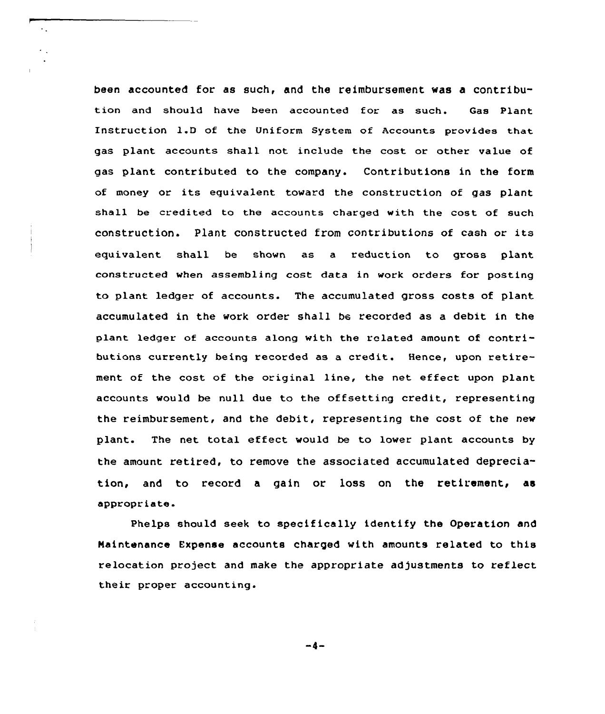been accounted for as such, and the reimbursement was a contribution and should have been accounted for as such. Gas Plant Instruction 1.D of the Uniform System of Accounts provides that gas plant accounts shall not include the cost or other value of gas plant contributed to the company. Contributions in the form of money or its equivalent toward the construction of gas plant shall be credited to the accounts charged with the cost of such construction. Plant constructed from contributions of cash or its equivalent shall be shown as a reduction to gross plant constructed when assembling cost data in work orders for posting to plant ledger of accounts. The accumulated gross costs of plant accumulated in the work order shall be recorded as a debit in the plant ledger of accounts along with the related amount of contributions currently being recorded as a credit. Hence, upon retirement of the cost of the original line, the net effect upon plant accounts would be null due to the offsetting credit, representing the reimbursement, and the debit, representing the cost of the new plant. The net total effect would be to lower plant accounts by the amount retired, to remove the associated accumulated depreciation, and to record a gain or loss on the retirement, as appropriate-

Phelps should seek to specifically identify the Operation and Naintenance Expense accounts charged with amounts related to this relocation project and make the appropriate adjustments to reflect their proper accounting.

 $-4-$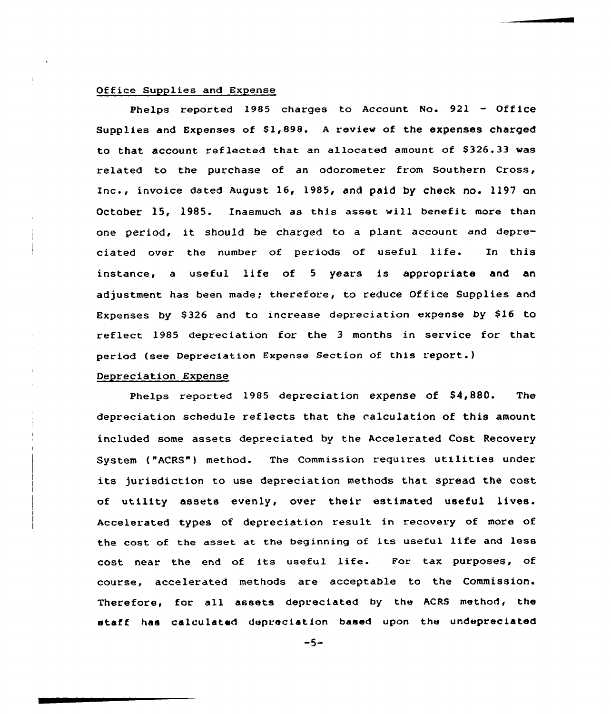# Office Supplies and Expense

Phelps reported 1985 charges to Account No. 921 — Office Supplies and Expenses of  $$1,898$ . A review of the expenses charged to that account reflected that an allocated amount of \$326.33 was related to the purchase of an odorometer from Southern Cross, Inc., invoice dated August 16, 1985, and paid by check no. 1197 on October 15, 19B5. Inasmuch as this asset will benefit more than one period, it should be charged to <sup>a</sup> plant account and depreciated over the number of periods of useful life. In this instance, <sup>a</sup> useful life of <sup>5</sup> years is appropriate and an adjustment has been made; therefore, to reduce Office Supplies and Expenses by \$326 and to increase depreciation expense by \$16 to reflect 1985 depreciation for the <sup>3</sup> months in service for that period (see Depreciation Expense Section of this report.)

#### Depreciation Expense

Phelps reported 1985 depreciation expense of \$4,880. The depreciation schedule reflects that the calculation of this amount included some assets depreciated by the Accelerated Cost Recovery System ("ACRS") method. The Commission requires utilities under its jurisdiction to use depreciation methods that spread the cost of utility assets evenly, over their estimated useful lives. Accelerated types of depreciation result in recovery of more of the cost of the asset at the beginning of its useful life and less cost near the end of its useful life. Eor tax purposes, of course, accelerated methods are acceptable to the Commission. Therefore, for all assets depreciated by the ACRS method, the staff has calculated depreciation based upon the undepreciated

 $-5-$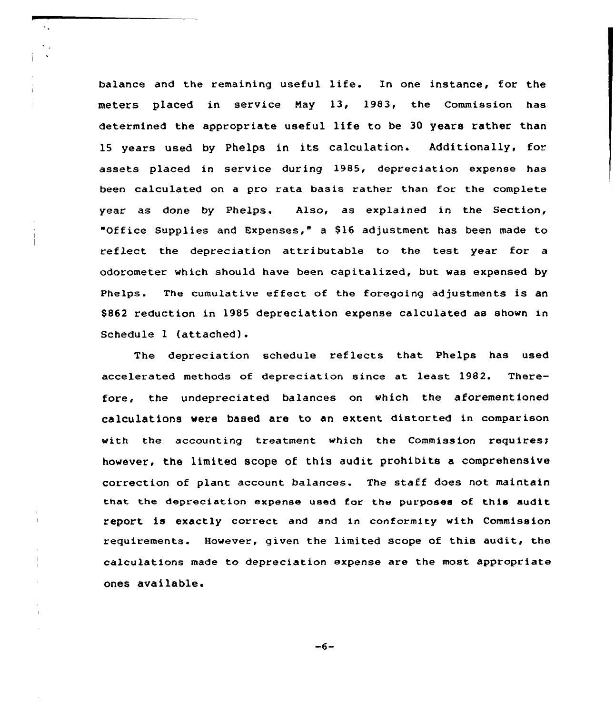balance and the remaining useful life. In one instance, for the meters placed in service Nay 13, 1983, the commission has determined the appropriate useful life to be 30 years rather than 15 years used by Phelps in its calculation. Additionally, for assets placed in service during 1985, depreciation expense has been calculated on a pro rata basis rather than for the complete year as done by Phelps. Also, as explained in the Section, "Office Supplies and Expenses," a 816 adjustment has been made to reflect the depreciation attributable to the test year for a odorometer which should have been capitalized, but was expensed by Phelps. The cumulative effect of the foregoing adjustments is an \$ 862 reduction in 1985 depreciation expense calculated as shown in Schedule <sup>1</sup> (attached).

 $\bullet$  .

The depreciation schedule reflects that Phelps has used accelerated methods of depreciation since at least 1982. Therefore, the undepreciated balances on which the aforementioned calculations were based are to an extent distorted in comparison with the accounting treatment which the Commission requires; however, the limited scope of this audit prohibits a comprehensive correction of plant account. balances. The staff does not maintain that. the depreciation expense used for the purposes of this audit report is exactly correct and and in conformity with Commission requirements. However, given the limited scope of this audit, the calculations made to depreciation expense are the most appropriate ones available.

 $-6-$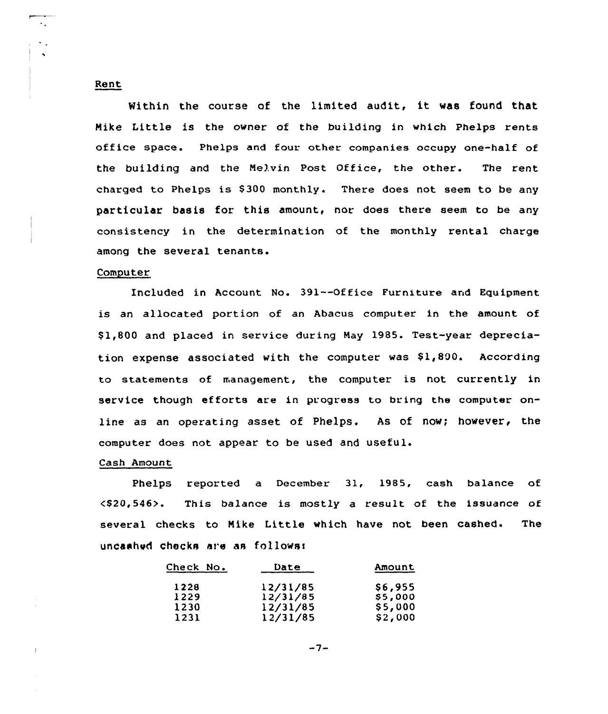### Rent

Within the course of the limited audit, it was found that Nike Little is the owner of the building in which Phelps rents office space. Phelps and four other companies occupy one-half of the building and the Nelvin Post Office, the other. The rent charged to Phelps is \$300 monthly. There does not seem to be any particular basis for this amount, nor does there seem to be any consistency in the determination of the monthly rental charge among the several tenants.

### Computer

Included in Account No. 391--Office Furniture and Equipment is an allocated portion of an Abacus computer in the amount of \$ 1,800 and placed in service during Nay 1985. Test-year depreciation expense associated with the computer was  $$1,800$ . According to statements of management, the computer is not currently in service though efforts are in progress to bring the computer online as an operating asset of Phelps. As of now; however, the computer does not appear to be used and useful.

### Cash Amount

Phelps reported a December 31, 1985, cash balance of <\$20,546>. This balance is mostly a result of the issuance of several checks to Nike Little which have not been cashed. The uncashed checks are as follows:

| Check No. | Date     | Amount  |
|-----------|----------|---------|
| 1228      | 12/31/85 | \$6,955 |
| 1229      | 12/31/85 | \$5,000 |
| 1230      | 12/31/85 | \$5,000 |
| 1231      | 12/31/85 | \$2,000 |

 $-7-$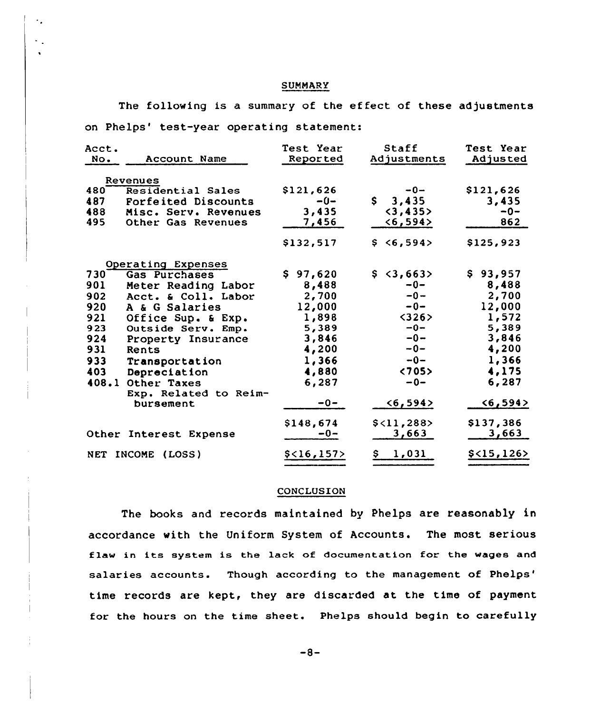# **SUMMARY**

The following is a summary of the effect of these adjustments on Phelps' test-year operating statement:

| Acct.<br>No. | Account Name                       | Test Year<br>Reported | Staff<br>Adjustments  | Test Year<br>Adjusted |
|--------------|------------------------------------|-----------------------|-----------------------|-----------------------|
|              | Revenues                           |                       |                       |                       |
| 480          | Residential Sales                  | \$121,626             | $-0-$                 | \$121,626             |
| 487          | Forfeited Discounts                | $-0-$                 | $\mathsf{S}$<br>3,435 | 3,435                 |
| 488          | Misc. Serv. Revenues               | 3,435                 | $3, 435>$             | $-0-$                 |
| 495          | Other Gas Revenues                 | 7,456                 | $6, 594>$             | 862                   |
|              |                                    | \$132,517             | \$ <b>6,594</b>       | \$125,923             |
|              | Operating Expenses                 |                       |                       |                       |
| 730          | Gas Purchases                      | \$97,620              | \$3,663>              | \$93,957              |
| 901          | Meter Reading Labor                | 8,488                 | $-0-$                 | 8,488                 |
| 902          | Acct. & Coll. Labor                | 2,700                 | $-0-$                 | 2,700                 |
| 920          | A & G Salaries                     | 12,000                | $-0-$                 | 12,000                |
| 921          | Office Sup. & Exp.                 | 1,898                 | <326                  | 1,572                 |
| 923          | Outside Serv. Emp.                 | 5,389                 | $-0-$                 | 5,389                 |
| 924          | Property Insurance                 | 3,846                 | $-0-$                 | 3,846                 |
| 931          | Rents                              | 4,200                 | $-0-$                 | 4,200                 |
| 933          | Transportation                     | 1,366                 | $-0-$                 | 1,366                 |
| 403          | Depreciation                       | 4,880                 | < 705                 | 4,175                 |
| 408.1        | Other Taxes                        | 6,287                 | $-0-$                 | 6,287                 |
|              | Exp. Related to Reim-<br>bursement | $-0-$                 | $6, 594>$             | $6,594>$              |
|              |                                    | \$148,674             | \$<11,288>            | \$137,386             |
|              | Other Interest Expense             | $-0-$                 | 3,663                 | 3,663                 |
|              | NET INCOME (LOSS)                  | \$<16,157>            | 1,031<br>Ş.           | \$<15,126>            |

### **CONCLUSION**

The books and records maintained by Phelps are reasonably in accordance with the Uniform System of Accounts. The most serious flaw in its system is the lack af documentation for the wages and salaries accounts. Though according to the management of Phelps' time records are kept, they are discarded at the time of payment for the hours on the time sheet. Phelps should begin to carefully

 $-8-$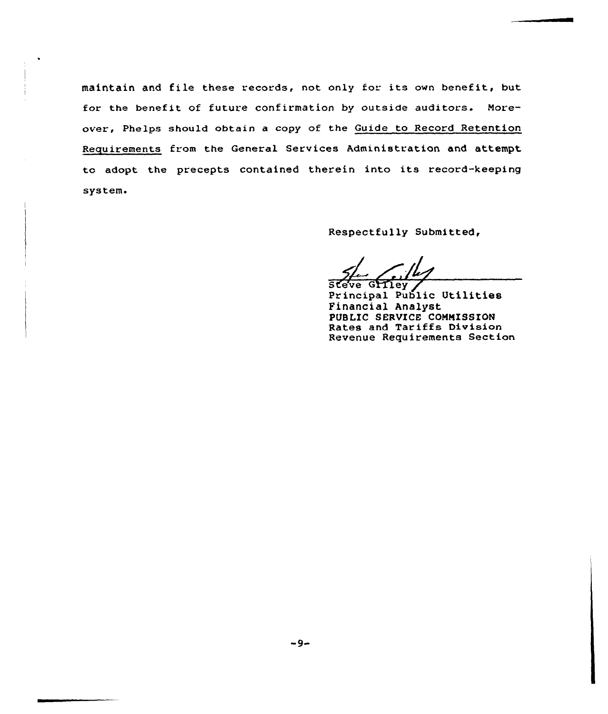maintain and file these records, not only for its own benefit, but for the benefit of future confirmation by outside auditors. Moreover, Phelps should obtain a copy of the Guide to Record Retention Requirements from the General Services Administration and attempt to adopt the precepts contained therein into its record-keeping system.

Respectfully Submitted,

sler Gilbert

Steve Griley<br>Principal Public Utilities Financial Analyst PUBLIC SERVICE COMMISSION Rates and Tariffs Division Revenue Requirements Section